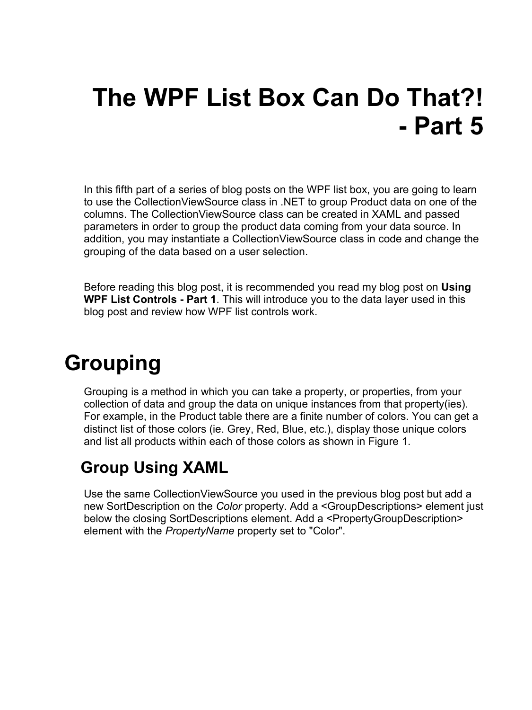# **The WPF List Box Can Do That?! - Part 5**

In this fifth part of a series of blog posts on the WPF list box, you are going to learn to use the CollectionViewSource class in .NET to group Product data on one of the columns. The CollectionViewSource class can be created in XAML and passed parameters in order to group the product data coming from your data source. In addition, you may instantiate a CollectionViewSource class in code and change the grouping of the data based on a user selection.

Before reading this blog post, it is recommended you read my blog post on **Using WPF List Controls - Part 1**. This will introduce you to the data layer used in this blog post and review how WPF list controls work.

### **Grouping**

Grouping is a method in which you can take a property, or properties, from your collection of data and group the data on unique instances from that property(ies). For example, in the Product table there are a finite number of colors. You can get a distinct list of those colors (ie. Grey, Red, Blue, etc.), display those unique colors and list all products within each of those colors as shown in [Figure 1.](#page-2-0)

#### **Group Using XAML**

Use the same CollectionViewSource you used in the previous blog post but add a new SortDescription on the *Color* property. Add a <GroupDescriptions> element just below the closing SortDescriptions element. Add a <PropertyGroupDescription> element with the *PropertyName* property set to "Color".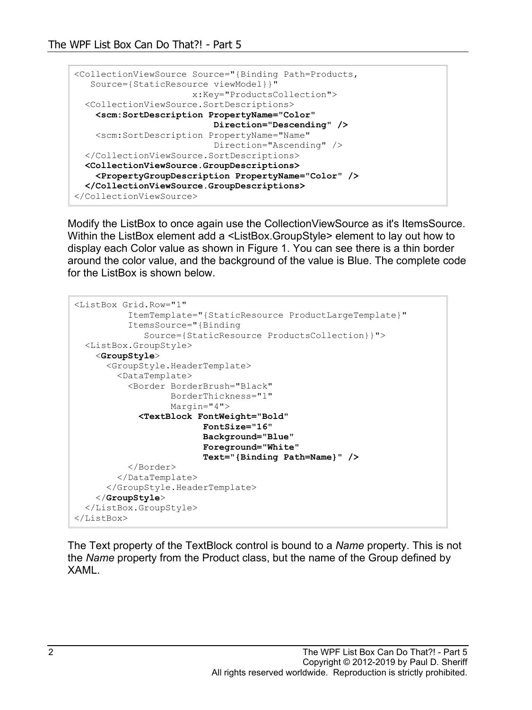```
<CollectionViewSource Source="{Binding Path=Products,
   Source={StaticResource viewModel}}"
                       x:Key="ProductsCollection">
   <CollectionViewSource.SortDescriptions>
    <scm:SortDescription PropertyName="Color"
                           Direction="Descending" />
     <scm:SortDescription PropertyName="Name"
                           Direction="Ascending" />
  </CollectionViewSource.SortDescriptions>
  <CollectionViewSource.GroupDescriptions>
     <PropertyGroupDescription PropertyName="Color" />
  </CollectionViewSource.GroupDescriptions>
</CollectionViewSource>
```
Modify the ListBox to once again use the CollectionViewSource as it's ItemsSource. Within the ListBox element add a <ListBox.GroupStyle> element to lay out how to display each Color value as shown in [Figure 1.](#page-2-0) You can see there is a thin border around the color value, and the background of the value is Blue. The complete code for the ListBox is shown below.

```
<ListBox Grid.Row="1"
           ItemTemplate="{StaticResource ProductLargeTemplate}"
           ItemsSource="{Binding 
              Source={StaticResource ProductsCollection}}">
  <ListBox.GroupStyle>
     <GroupStyle>
       <GroupStyle.HeaderTemplate>
         <DataTemplate>
           <Border BorderBrush="Black"
                   BorderThickness="1"
                   Margin="4">
             <TextBlock FontWeight="Bold"
                          FontSize="16"
                         Background="Blue"
                         Foreground="White"
                         Text="{Binding Path=Name}" />
           </Border>
         </DataTemplate>
       </GroupStyle.HeaderTemplate>
     </GroupStyle>
   </ListBox.GroupStyle>
</ListBox>
```
The Text property of the TextBlock control is bound to a *Name* property. This is not the *Name* property from the Product class, but the name of the Group defined by XAML.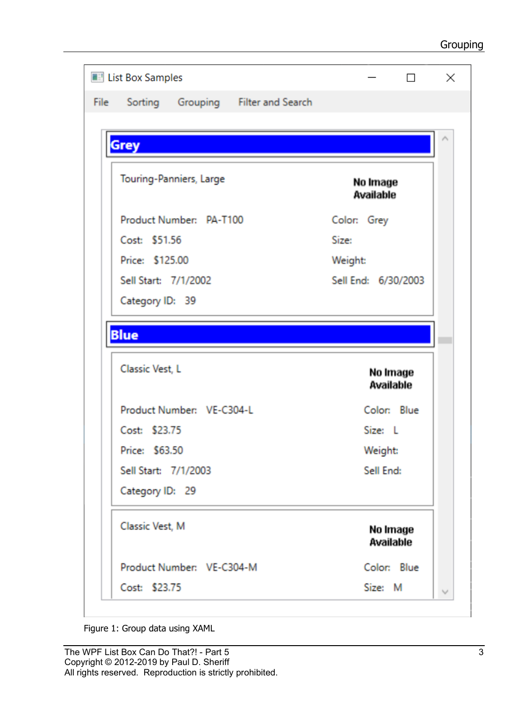| <b>Edge List Box Samples</b>   |                           |                                    |                     | П                     |
|--------------------------------|---------------------------|------------------------------------|---------------------|-----------------------|
| File                           |                           | Sorting Grouping Filter and Search |                     |                       |
|                                |                           |                                    |                     |                       |
| <b>Grey</b>                    |                           |                                    |                     |                       |
|                                |                           |                                    |                     |                       |
| Touring-Panniers, Large        |                           | No Image<br><b>Available</b>       |                     |                       |
| Product Number: PA-T100        |                           |                                    | Color: Grey         |                       |
| Cost: \$51.56                  |                           |                                    | Size:               |                       |
|                                | Price: \$125.00           |                                    | Weight:             |                       |
| Sell Start: 7/1/2002           |                           |                                    | Sell End: 6/30/2003 |                       |
|                                |                           |                                    |                     |                       |
| Category ID: 39<br><b>Blue</b> |                           |                                    |                     |                       |
| Classic Vest, L                |                           |                                    |                     | No Image<br>Available |
|                                | Product Number: VE-C304-L |                                    |                     | Color: Blue           |
| Cost: \$23.75                  |                           |                                    | Size: L             |                       |
| Price: \$63.50                 |                           |                                    | Weight:             |                       |
|                                | Sell Start: 7/1/2003      |                                    | Sell End:           |                       |
| Category ID: 29                |                           |                                    |                     |                       |
| Classic Vest, M                |                           |                                    |                     | No Image<br>Available |
|                                | Product Number: VE-C304-M |                                    |                     | Color: Blue           |

<span id="page-2-0"></span>Figure 1: Group data using XAML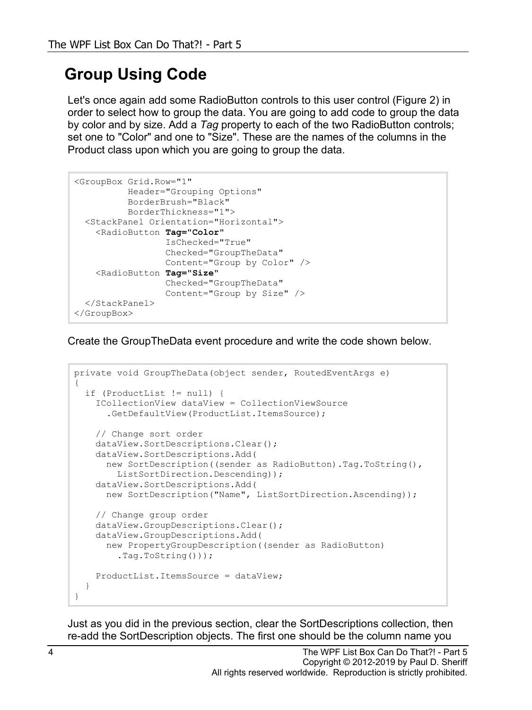#### **Group Using Code**

Let's once again add some RadioButton controls to this user control [\(Figure 2\)](#page-5-0) in order to select how to group the data. You are going to add code to group the data by color and by size. Add a *Tag* property to each of the two RadioButton controls; set one to "Color" and one to "Size". These are the names of the columns in the Product class upon which you are going to group the data.

```
<GroupBox Grid.Row="1"
           Header="Grouping Options"
           BorderBrush="Black"
           BorderThickness="1">
   <StackPanel Orientation="Horizontal">
     <RadioButton Tag="Color"
                  IsChecked="True"
                 Checked="GroupTheData"
                 Content="Group by Color" />
     <RadioButton Tag="Size"
                  Checked="GroupTheData"
                 Content="Group by Size" />
   </StackPanel>
</GroupBox>
```
Create the GroupTheData event procedure and write the code shown below.

```
private void GroupTheData(object sender, RoutedEventArgs e)
{
   if (ProductList != null) {
     ICollectionView dataView = CollectionViewSource
       .GetDefaultView(ProductList.ItemsSource);
     // Change sort order
     dataView.SortDescriptions.Clear();
     dataView.SortDescriptions.Add(
      new SortDescription((sender as RadioButton).Tag.ToString(),
       ListSortDirection.Descending));
     dataView.SortDescriptions.Add(
       new SortDescription("Name", ListSortDirection.Ascending));
     // Change group order
    dataView.GroupDescriptions.Clear();
     dataView.GroupDescriptions.Add(
       new PropertyGroupDescription((sender as RadioButton)
         .Tag.ToString()));
     ProductList.ItemsSource = dataView;
   }
}
```
Just as you did in the previous section, clear the SortDescriptions collection, then re-add the SortDescription objects. The first one should be the column name you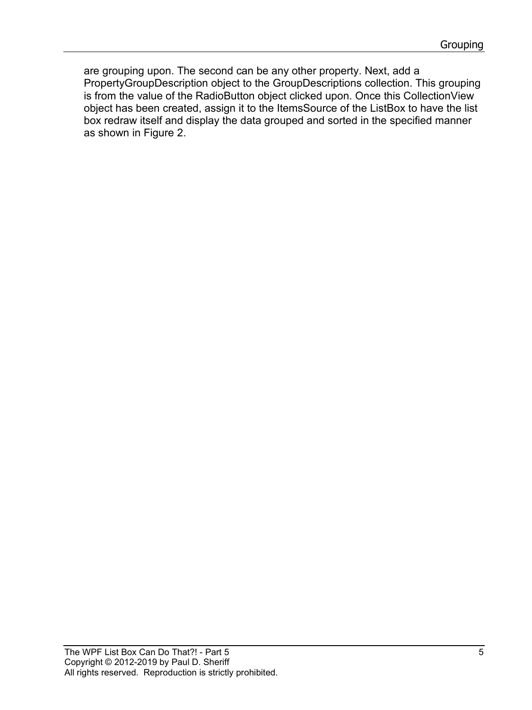are grouping upon. The second can be any other property. Next, add a PropertyGroupDescription object to the GroupDescriptions collection. This grouping is from the value of the RadioButton object clicked upon. Once this CollectionView object has been created, assign it to the ItemsSource of the ListBox to have the list box redraw itself and display the data grouped and sorted in the specified manner as shown in [Figure 2.](#page-5-0)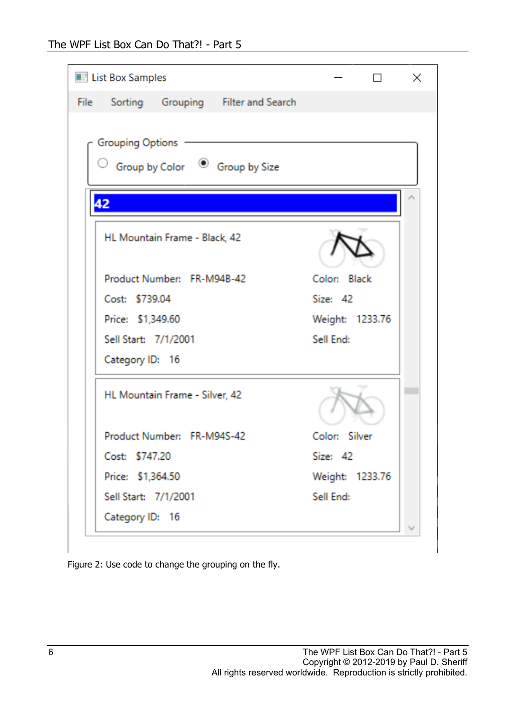| <b>EV List Box Samples</b>                                           |                 | $\times$ |
|----------------------------------------------------------------------|-----------------|----------|
| Sorting Grouping Filter and Search<br>File                           |                 |          |
| <b>Grouping Options</b><br>Group by Color <sup>1</sup> Group by Size |                 |          |
| 42                                                                   |                 |          |
| HL Mountain Frame - Black, 42                                        |                 |          |
| Product Number: FR-M94B-42                                           | Color: Black    |          |
| Cost: \$739.04                                                       | Size: 42        |          |
| Price: \$1,349.60                                                    | Weight: 1233.76 |          |
| Sell Start: 7/1/2001                                                 | Sell End:       |          |
| Category ID: 16                                                      |                 |          |
| HL Mountain Frame - Silver, 42                                       |                 |          |
| Product Number: FR-M94S-42                                           | Color: Silver   |          |
| Cost: \$747.20                                                       | Size: 42        |          |
| Price: \$1,364.50                                                    | Weight: 1233.76 |          |
| Sell Start: 7/1/2001                                                 | Sell End:       |          |
| Category ID: 16                                                      |                 |          |

<span id="page-5-0"></span>Figure 2: Use code to change the grouping on the fly.